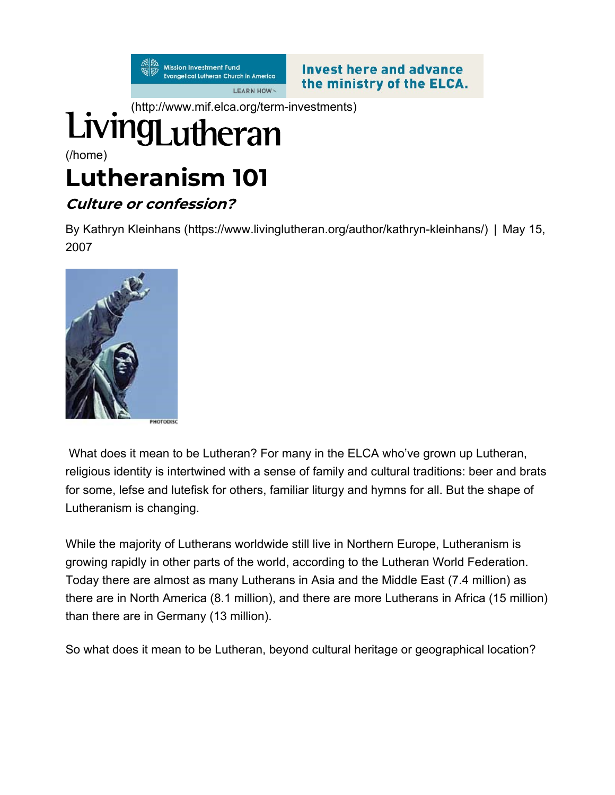**Mission Investment Fund** Evangelical Lutheran Church in America **LEARN HOW>** 

**Invest here and advance** the ministry of the ELCA.

## (http://www.mif.elca.org/term-investments) (/home)

# Lutheranism 101

#### Culture or confession?

By Kathryn Kleinhans (https://www.livinglutheran.org/author/kathryn-kleinhans/) | May 15, 2007



 What does it mean to be Lutheran? For many in the ELCA who've grown up Lutheran, religious identity is intertwined with a sense of family and cultural traditions: beer and brats for some, lefse and lutefisk for others, familiar liturgy and hymns for all. But the shape of Lutheranism is changing.

While the majority of Lutherans worldwide still live in Northern Europe, Lutheranism is growing rapidly in other parts of the world, according to the Lutheran World Federation. Today there are almost as many Lutherans in Asia and the Middle East (7.4 million) as there are in North America (8.1 million), and there are more Lutherans in Africa (15 million) than there are in Germany (13 million).

So what does it mean to be Lutheran, beyond cultural heritage or geographical location?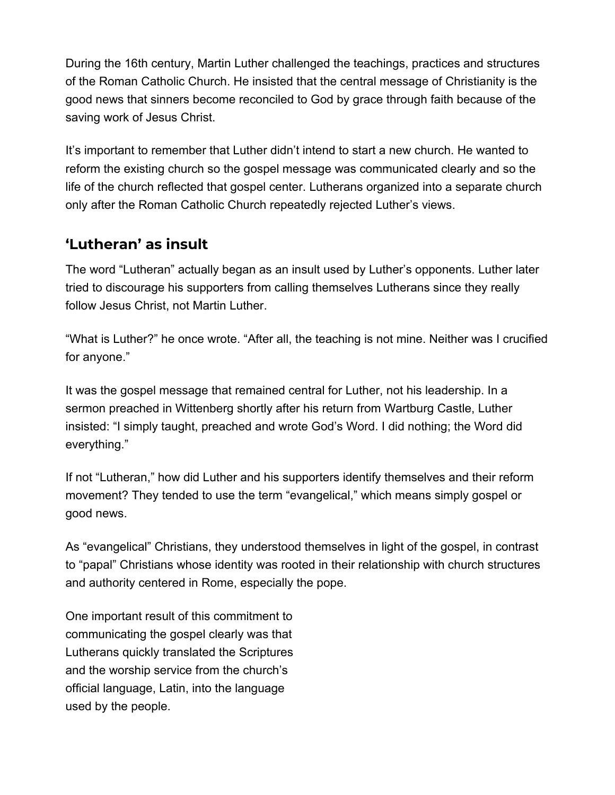During the 16th century, Martin Luther challenged the teachings, practices and structures of the Roman Catholic Church. He insisted that the central message of Christianity is the good news that sinners become reconciled to God by grace through faith because of the saving work of Jesus Christ.

It's important to remember that Luther didn't intend to start a new church. He wanted to reform the existing church so the gospel message was communicated clearly and so the life of the church reflected that gospel center. Lutherans organized into a separate church only after the Roman Catholic Church repeatedly rejected Luther's views.

#### 'Lutheran' as insult

The word "Lutheran" actually began as an insult used by Luther's opponents. Luther later tried to discourage his supporters from calling themselves Lutherans since they really follow Jesus Christ, not Martin Luther.

"What is Luther?" he once wrote. "After all, the teaching is not mine. Neither was I crucified for anyone."

It was the gospel message that remained central for Luther, not his leadership. In a sermon preached in Wittenberg shortly after his return from Wartburg Castle, Luther insisted: "I simply taught, preached and wrote God's Word. I did nothing; the Word did everything."

If not "Lutheran," how did Luther and his supporters identify themselves and their reform movement? They tended to use the term "evangelical," which means simply gospel or good news.

As "evangelical" Christians, they understood themselves in light of the gospel, in contrast to "papal" Christians whose identity was rooted in their relationship with church structures and authority centered in Rome, especially the pope.

One important result of this commitment to communicating the gospel clearly was that Lutherans quickly translated the Scriptures and the worship service from the church's official language, Latin, into the language used by the people.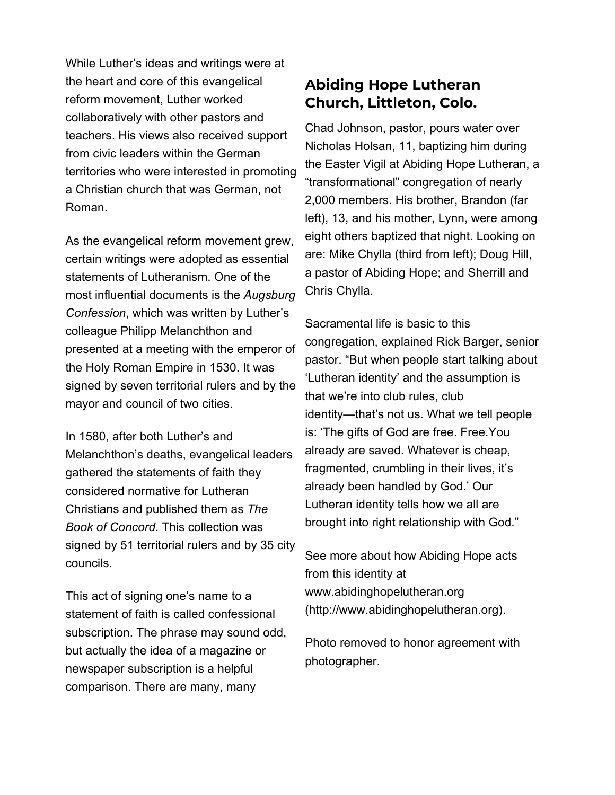While Luther's ideas and writings were at the heart and core of this evangelical reform movement, Luther worked collaboratively with other pastors and teachers. His views also received support from civic leaders within the German territories who were interested in promoting a Christian church that was German, not Roman.

As the evangelical reform movement grew, certain writings were adopted as essential statements of Lutheranism. One of the most influential documents is the Augsburg Confession, which was written by Luther's colleague Philipp Melanchthon and presented at a meeting with the emperor of the Holy Roman Empire in 1530. It was signed by seven territorial rulers and by the mayor and council of two cities.

In 1580, after both Luther's and Melanchthon's deaths, evangelical leaders gathered the statements of faith they considered normative for Lutheran Christians and published them as The Book of Concord. This collection was signed by 51 territorial rulers and by 35 city councils.

This act of signing one's name to a statement of faith is called confessional subscription. The phrase may sound odd, but actually the idea of a magazine or newspaper subscription is a helpful comparison. There are many, many

#### Abiding Hope Lutheran Church, Littleton, Colo.

Chad Johnson, pastor, pours water over Nicholas Holsan, 11, baptizing him during the Easter Vigil at Abiding Hope Lutheran, a "transformational" congregation of nearly 2,000 members. His brother, Brandon (far left), 13, and his mother, Lynn, were among eight others baptized that night. Looking on are: Mike Chylla (third from left); Doug Hill, a pastor of Abiding Hope; and Sherrill and Chris Chylla.

Sacramental life is basic to this congregation, explained Rick Barger, senior pastor. "But when people start talking about 'Lutheran identity' and the assumption is that we're into club rules, club identity—that's not us. What we tell people is: 'The gifts of God are free. Free.You already are saved. Whatever is cheap, fragmented, crumbling in their lives, it's already been handled by God.' Our Lutheran identity tells how we all are brought into right relationship with God."

See more about how Abiding Hope acts from this identity at www.abidinghopelutheran.org (http://www.abidinghopelutheran.org).

Photo removed to honor agreement with photographer.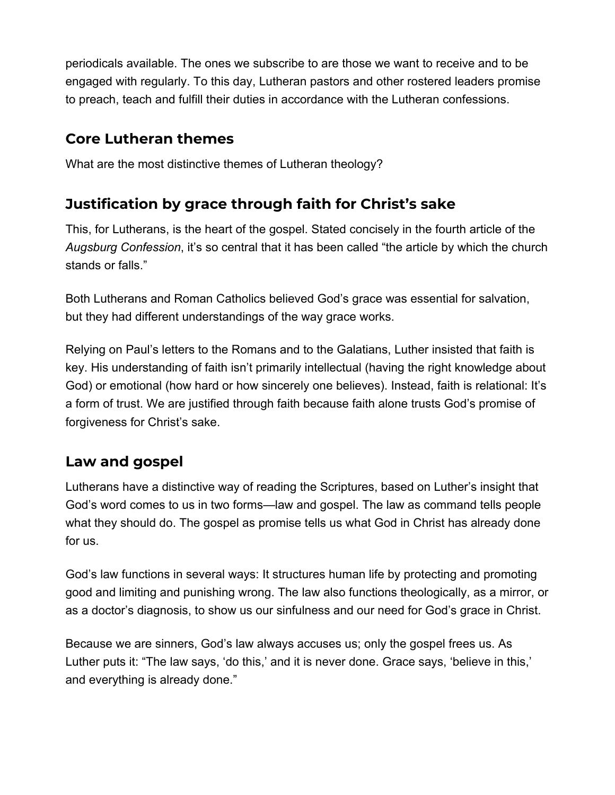periodicals available. The ones we subscribe to are those we want to receive and to be engaged with regularly. To this day, Lutheran pastors and other rostered leaders promise to preach, teach and fulfill their duties in accordance with the Lutheran confessions.

#### Core Lutheran themes

What are the most distinctive themes of Lutheran theology?

## Justification by grace through faith for Christ's sake

This, for Lutherans, is the heart of the gospel. Stated concisely in the fourth article of the Augsburg Confession, it's so central that it has been called "the article by which the church stands or falls."

Both Lutherans and Roman Catholics believed God's grace was essential for salvation, but they had different understandings of the way grace works.

Relying on Paul's letters to the Romans and to the Galatians, Luther insisted that faith is key. His understanding of faith isn't primarily intellectual (having the right knowledge about God) or emotional (how hard or how sincerely one believes). Instead, faith is relational: It's a form of trust. We are justified through faith because faith alone trusts God's promise of forgiveness for Christ's sake.

## Law and gospel

Lutherans have a distinctive way of reading the Scriptures, based on Luther's insight that God's word comes to us in two forms—law and gospel. The law as command tells people what they should do. The gospel as promise tells us what God in Christ has already done for us.

God's law functions in several ways: It structures human life by protecting and promoting good and limiting and punishing wrong. The law also functions theologically, as a mirror, or as a doctor's diagnosis, to show us our sinfulness and our need for God's grace in Christ.

Because we are sinners, God's law always accuses us; only the gospel frees us. As Luther puts it: "The law says, 'do this,' and it is never done. Grace says, 'believe in this,' and everything is already done."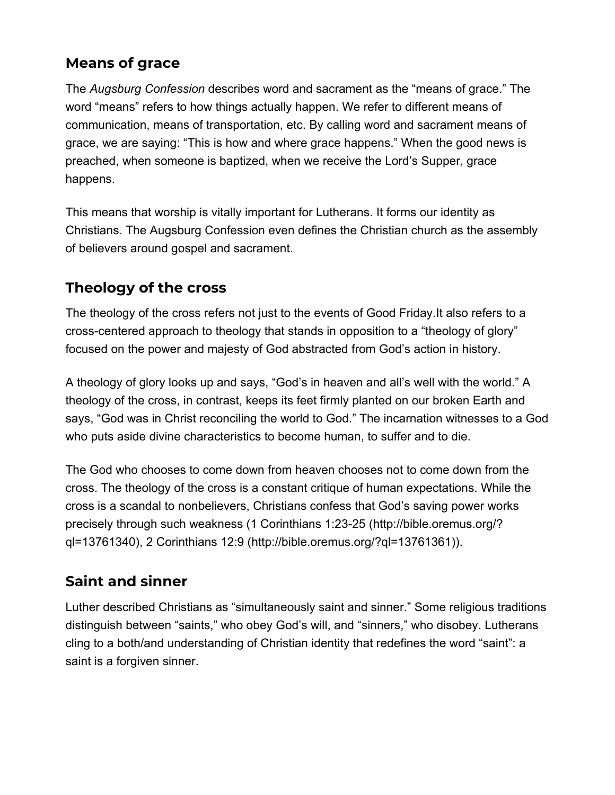#### Means of grace

The Augsburg Confession describes word and sacrament as the "means of grace." The word "means" refers to how things actually happen. We refer to different means of communication, means of transportation, etc. By calling word and sacrament means of grace, we are saying: "This is how and where grace happens." When the good news is preached, when someone is baptized, when we receive the Lord's Supper, grace happens.

This means that worship is vitally important for Lutherans. It forms our identity as Christians. The Augsburg Confession even defines the Christian church as the assembly of believers around gospel and sacrament.

## Theology of the cross

The theology of the cross refers not just to the events of Good Friday.It also refers to a cross-centered approach to theology that stands in opposition to a "theology of glory" focused on the power and majesty of God abstracted from God's action in history.

A theology of glory looks up and says, "God's in heaven and all's well with the world." A theology of the cross, in contrast, keeps its feet firmly planted on our broken Earth and says, "God was in Christ reconciling the world to God." The incarnation witnesses to a God who puts aside divine characteristics to become human, to suffer and to die.

The God who chooses to come down from heaven chooses not to come down from the cross. The theology of the cross is a constant critique of human expectations. While the cross is a scandal to nonbelievers, Christians confess that God's saving power works precisely through such weakness (1 Corinthians 1:23-25 (http://bible.oremus.org/? ql=13761340), 2 Corinthians 12:9 (http://bible.oremus.org/?ql=13761361)).

## Saint and sinner

Luther described Christians as "simultaneously saint and sinner." Some religious traditions distinguish between "saints," who obey God's will, and "sinners," who disobey. Lutherans cling to a both/and understanding of Christian identity that redefines the word "saint": a saint is a forgiven sinner.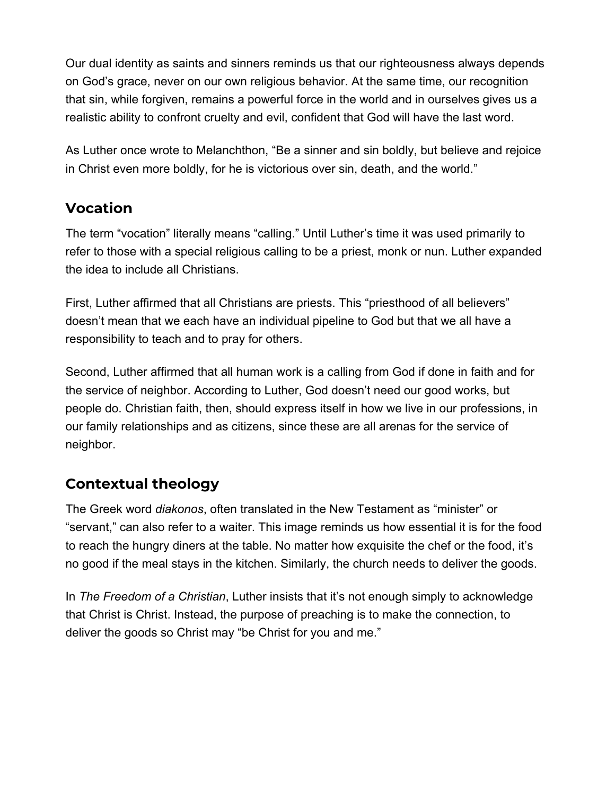Our dual identity as saints and sinners reminds us that our righteousness always depends on God's grace, never on our own religious behavior. At the same time, our recognition that sin, while forgiven, remains a powerful force in the world and in ourselves gives us a realistic ability to confront cruelty and evil, confident that God will have the last word.

As Luther once wrote to Melanchthon, "Be a sinner and sin boldly, but believe and rejoice in Christ even more boldly, for he is victorious over sin, death, and the world."

#### Vocation

The term "vocation" literally means "calling." Until Luther's time it was used primarily to refer to those with a special religious calling to be a priest, monk or nun. Luther expanded the idea to include all Christians.

First, Luther affirmed that all Christians are priests. This "priesthood of all believers" doesn't mean that we each have an individual pipeline to God but that we all have a responsibility to teach and to pray for others.

Second, Luther affirmed that all human work is a calling from God if done in faith and for the service of neighbor. According to Luther, God doesn't need our good works, but people do. Christian faith, then, should express itself in how we live in our professions, in our family relationships and as citizens, since these are all arenas for the service of neighbor.

## Contextual theology

The Greek word diakonos, often translated in the New Testament as "minister" or "servant," can also refer to a waiter. This image reminds us how essential it is for the food to reach the hungry diners at the table. No matter how exquisite the chef or the food, it's no good if the meal stays in the kitchen. Similarly, the church needs to deliver the goods.

In The Freedom of a Christian, Luther insists that it's not enough simply to acknowledge that Christ is Christ. Instead, the purpose of preaching is to make the connection, to deliver the goods so Christ may "be Christ for you and me."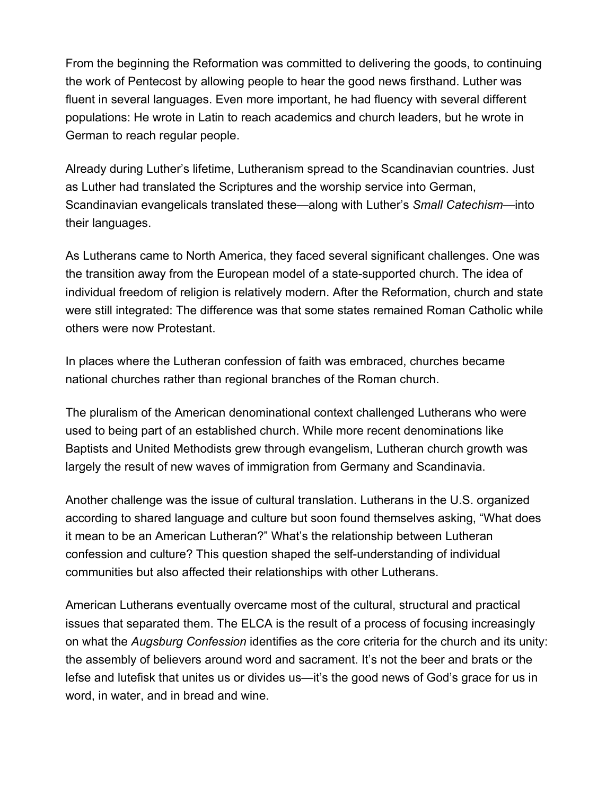From the beginning the Reformation was committed to delivering the goods, to continuing the work of Pentecost by allowing people to hear the good news firsthand. Luther was fluent in several languages. Even more important, he had fluency with several different populations: He wrote in Latin to reach academics and church leaders, but he wrote in German to reach regular people.

Already during Luther's lifetime, Lutheranism spread to the Scandinavian countries. Just as Luther had translated the Scriptures and the worship service into German, Scandinavian evangelicals translated these—along with Luther's Small Catechism—into their languages.

As Lutherans came to North America, they faced several significant challenges. One was the transition away from the European model of a state-supported church. The idea of individual freedom of religion is relatively modern. After the Reformation, church and state were still integrated: The difference was that some states remained Roman Catholic while others were now Protestant.

In places where the Lutheran confession of faith was embraced, churches became national churches rather than regional branches of the Roman church.

The pluralism of the American denominational context challenged Lutherans who were used to being part of an established church. While more recent denominations like Baptists and United Methodists grew through evangelism, Lutheran church growth was largely the result of new waves of immigration from Germany and Scandinavia.

Another challenge was the issue of cultural translation. Lutherans in the U.S. organized according to shared language and culture but soon found themselves asking, "What does it mean to be an American Lutheran?" What's the relationship between Lutheran confession and culture? This question shaped the self-understanding of individual communities but also affected their relationships with other Lutherans.

American Lutherans eventually overcame most of the cultural, structural and practical issues that separated them. The ELCA is the result of a process of focusing increasingly on what the Augsburg Confession identifies as the core criteria for the church and its unity: the assembly of believers around word and sacrament. It's not the beer and brats or the lefse and lutefisk that unites us or divides us—it's the good news of God's grace for us in word, in water, and in bread and wine.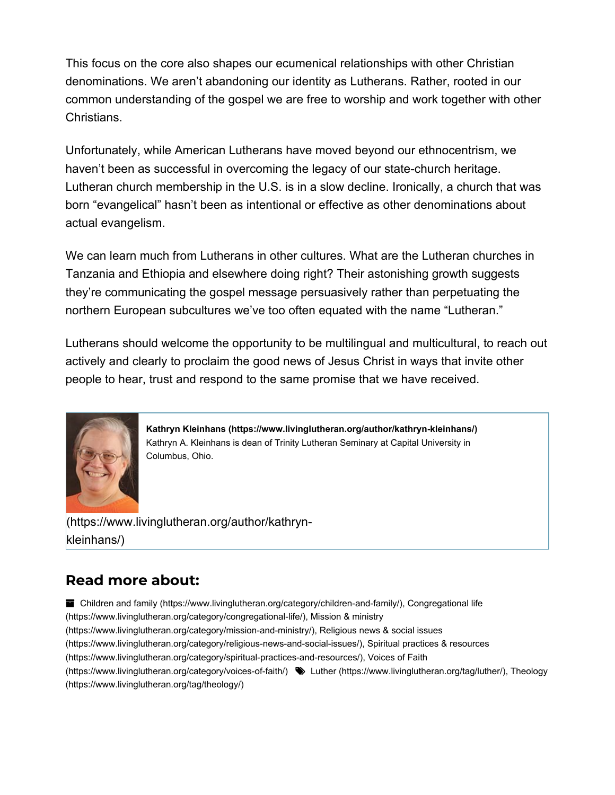This focus on the core also shapes our ecumenical relationships with other Christian denominations. We aren't abandoning our identity as Lutherans. Rather, rooted in our common understanding of the gospel we are free to worship and work together with other Christians.

Unfortunately, while American Lutherans have moved beyond our ethnocentrism, we haven't been as successful in overcoming the legacy of our state-church heritage. Lutheran church membership in the U.S. is in a slow decline. Ironically, a church that was born "evangelical" hasn't been as intentional or effective as other denominations about actual evangelism.

We can learn much from Lutherans in other cultures. What are the Lutheran churches in Tanzania and Ethiopia and elsewhere doing right? Their astonishing growth suggests they're communicating the gospel message persuasively rather than perpetuating the northern European subcultures we've too often equated with the name "Lutheran."

Lutherans should welcome the opportunity to be multilingual and multicultural, to reach out actively and clearly to proclaim the good news of Jesus Christ in ways that invite other people to hear, trust and respond to the same promise that we have received.



Kathryn Kleinhans (https://www.livinglutheran.org/author/kathryn-kleinhans/) Kathryn A. Kleinhans is dean of Trinity Lutheran Seminary at Capital University in Columbus, Ohio.

(https://www.livinglutheran.org/author/kathrynkleinhans/)

## Read more about:

■ Children and family (https://www.livinglutheran.org/category/children-and-family/), Congregational life (https://www.livinglutheran.org/category/congregational-life/), Mission & ministry (https://www.livinglutheran.org/category/mission-and-ministry/), Religious news & social issues (https://www.livinglutheran.org/category/religious-news-and-social-issues/), Spiritual practices & resources (https://www.livinglutheran.org/category/spiritual-practices-and-resources/), Voices of Faith (https://www.livinglutheran.org/category/voices-of-faith/) Luther (https://www.livinglutheran.org/tag/luther/), Theology (https://www.livinglutheran.org/tag/theology/)